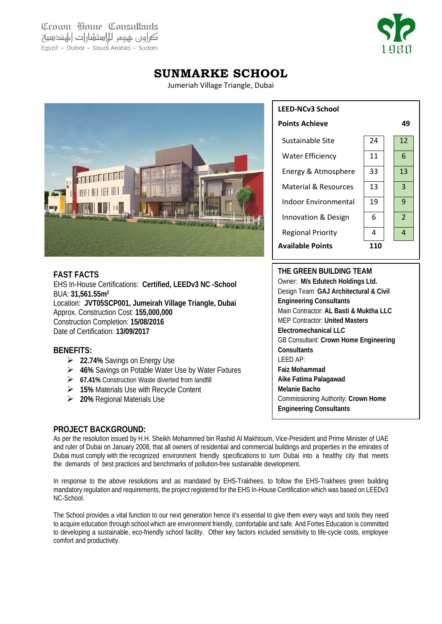Crown Home Consultants كراور عهوم للاستشارات الهندسية Egypt - Dubai - Saudi Arabia - Sudan



# **SUNMARKE SCHOOL**

Jumeriah Village Triangle, Dubai



# **FAST FACTS**

EHS In-House Certifications: **Certified, LEEDv3 NC -School**  BUA: **31,561.55m2** Location: **JVT05SCP001, Jumeirah Village Triangle, Dubai** Approx. Construction Cost: **155,000,000** Construction Completion: **15/08/2016** Date of Certification: **13/09/2017**

# **BENEFITS:**

- **22.74%** Savings on Energy Use
- **46%** Savings on Potable Water Use by Water Fixtures
- **67.41%** Construction Waste diverted from landfill
- **15%** Materials Use with Recycle Content
- **20%** Regional Materials Use

| <b>LEED-NCv3 School</b>        |    |                |
|--------------------------------|----|----------------|
| <b>Points Achieve</b>          |    | 49             |
| Sustainable Site               | 24 | 12             |
| <b>Water Efficiency</b>        | 11 | 6              |
| Energy & Atmosphere            | 33 | 13             |
| Material & Resources           | 13 | 3              |
| Indoor Environmental           | 19 | 9              |
| <b>Innovation &amp; Design</b> | 6  | $\overline{2}$ |
| <b>Regional Priority</b>       | 4  | 4              |
| <b>Available Points</b>        |    |                |

#### **THE GREEN BUILDING TEAM**

Owner: **M/s Edutech Holdings Ltd.** Design Team: **GAJ Architectural & Civil Engineering Consultants** Main Contractor: **AL Basti & Muktha LLC** MEP Contractor: **United Masters Electromechanical LLC** GB Consultant: **Crown Home Engineering Consultants** LEED AP: **Faiz Mohammad Aike Fatima Palagawad Melanie Bacho** Commissioning Authority: **Crown Home Engineering Consultants**

# **PROJECT BACKGROUND:**

As per the resolution issued by H.H. Sheikh Mohammed bin Rashid Al Makhtoum, Vice-President and Prime Minister of UAE and ruler of Dubai on January 2008, that all owners of residential and commercial buildings and properties in the emirates of Dubai must comply with the recognized environment friendly specifications to turn Dubai into a healthy city that meets the demands of best practices and benchmarks of pollution-free sustainable development.

In response to the above resolutions and as mandated by EHS-Trakhees, to follow the EHS-Trakhees green building mandatory regulation and requirements, the project registered for the EHS In-House Certification which was based on LEEDv3 NC-School.

The School provides a vital function to our next generation hence it's essential to give them every ways and tools they need to acquire education through school which are environment friendly, comfortable and safe. And Fortes Education is committed to developing a sustainable, eco-friendly school facility. Other key factors included sensitivity to life-cycle costs, employee comfort and productivity.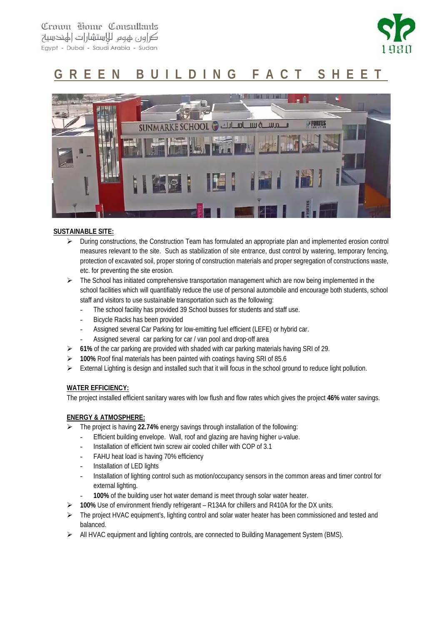Crown Home Consultants كراور عهوم للاستشارات الهندسية Egypt - Dubai - Saudi Arabia - Sudan



# **GREEN BUILDING FACT SHEET**



#### **SUSTAINABLE SITE:**

- $\triangleright$  During constructions, the Construction Team has formulated an appropriate plan and implemented erosion control measures relevant to the site. Such as stabilization of site entrance, dust control by watering, temporary fencing, protection of excavated soil, proper storing of construction materials and proper segregation of constructions waste, etc. for preventing the site erosion.
- $\triangleright$  The School has initiated comprehensive transportation management which are now being implemented in the school facilities which will quantifiably reduce the use of personal automobile and encourage both students, school staff and visitors to use sustainable transportation such as the following:
	- The school facility has provided 39 School busses for students and staff use.
	- Bicycle Racks has been provided
	- Assigned several Car Parking for low-emitting fuel efficient (LEFE) or hybrid car.
	- Assigned several car parking for car / van pool and drop-off area
- **61%** of the car parking are provided with shaded with car parking materials having SRI of 29.
- **100%** Roof final materials has been painted with coatings having SRI of 85.6
- External Lighting is design and installed such that it will focus in the school ground to reduce light pollution.

#### **WATER EFFICIENCY:**

The project installed efficient sanitary wares with low flush and flow rates which gives the project **46%** water savings.

#### **ENERGY & ATMOSPHERE:**

- The project is having **22.74%** energy savings through installation of the following:
	- Efficient building envelope. Wall, roof and glazing are having higher u-value.
		- Installation of efficient twin screw air cooled chiller with COP of 3.1
		- FAHU heat load is having 70% efficiency
		- Installation of LED lights
	- Installation of lighting control such as motion/occupancy sensors in the common areas and timer control for external lighting.
		- 100% of the building user hot water demand is meet through solar water heater.
- **100%** Use of environment friendly refrigerant R134A for chillers and R410A for the DX units.
- $\triangleright$  The project HVAC equipment's, lighting control and solar water heater has been commissioned and tested and balanced.
- $\triangleright$  All HVAC equipment and lighting controls, are connected to Building Management System (BMS).